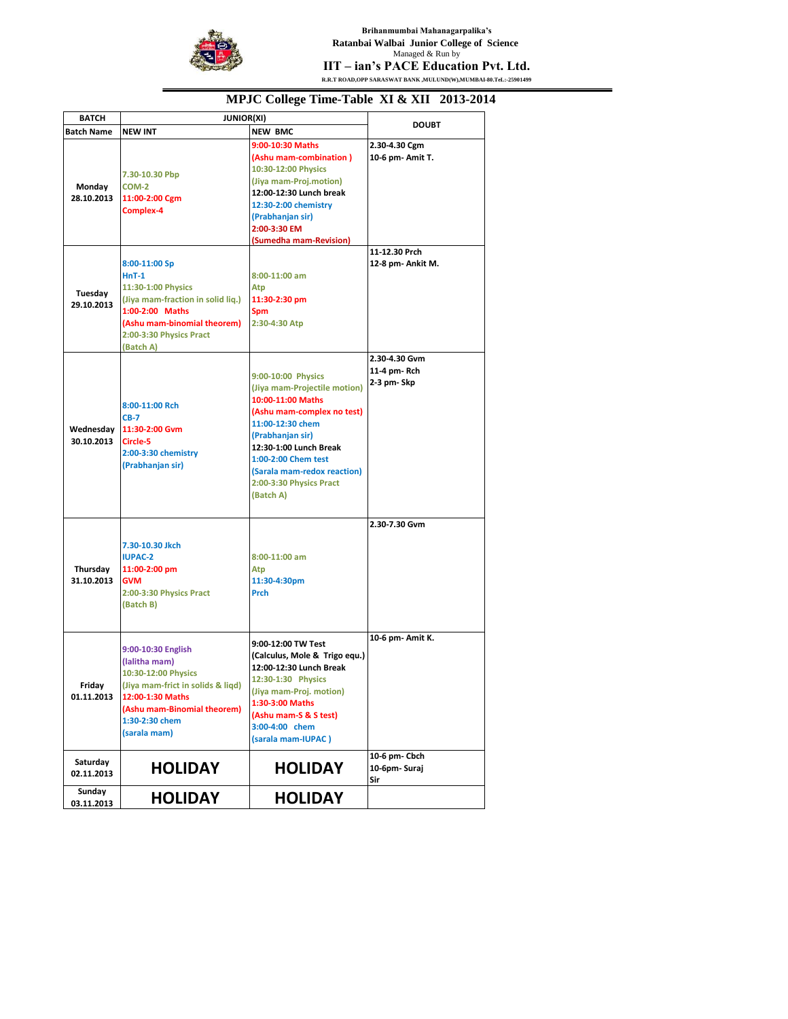

**Brihanmumbai Mahanagarpalika's Ratanbai Walbai Junior College of Science**  Managed & Run by **IIT – ian's PACE Education Pvt. Ltd. R.R.T ROAD,OPP SARASWAT BANK ,MULUND(W),MUMBAI-80.TeL:-25901499**

| <b>BATCH</b>           | <b>JUNIOR(XI)</b>                                                                                                                                                             |                                                                                                                                                                                                                                                                       |                                             |
|------------------------|-------------------------------------------------------------------------------------------------------------------------------------------------------------------------------|-----------------------------------------------------------------------------------------------------------------------------------------------------------------------------------------------------------------------------------------------------------------------|---------------------------------------------|
| Batch Name             | <b>NEW INT</b>                                                                                                                                                                | <b>NEW BMC</b>                                                                                                                                                                                                                                                        | <b>DOUBT</b>                                |
| Monday<br>28.10.2013   | 7.30-10.30 Pbp<br>COM-2<br>11:00-2:00 Cgm<br>Complex-4                                                                                                                        | 9:00-10:30 Maths<br>(Ashu mam-combination)<br>10:30-12:00 Physics<br>(Jiya mam-Proj.motion)<br>12:00-12:30 Lunch break<br>12:30-2:00 chemistry<br>(Prabhanjan sir)<br>2:00-3:30 EM<br>(Sumedha mam-Revision)                                                          | 2.30-4.30 Cgm<br>10-6 pm- Amit T.           |
| Tuesday<br>29.10.2013  | 8:00-11:00 Sp<br>$HnT-1$<br>11:30-1:00 Physics<br>(Jiya mam-fraction in solid liq.)<br>1:00-2:00 Maths<br>(Ashu mam-binomial theorem)<br>2:00-3:30 Physics Pract<br>(Batch A) | 8:00-11:00 am<br>Atp<br>11:30-2:30 pm<br><b>Spm</b><br>2:30-4:30 Atp                                                                                                                                                                                                  | 11-12.30 Prch<br>12-8 pm- Ankit M.          |
| 30.10.2013             | 8:00-11:00 Rch<br>$CB-7$<br>Wednesday 11:30-2:00 Gym<br>Circle-5<br>2:00-3:30 chemistry<br>(Prabhanjan sir)                                                                   | 9:00-10:00 Physics<br>(Jiya mam-Projectile motion)<br>10:00-11:00 Maths<br>(Ashu mam-complex no test)<br>11:00-12:30 chem<br>(Prabhanjan sir)<br>12:30-1:00 Lunch Break<br>1:00-2:00 Chem test<br>(Sarala mam-redox reaction)<br>2:00-3:30 Physics Pract<br>(Batch A) | 2.30-4.30 Gvm<br>11-4 pm-Rch<br>2-3 pm- Skp |
| Thursday<br>31.10.2013 | 7.30-10.30 Jkch<br><b>IUPAC-2</b><br>11:00-2:00 pm<br><b>GVM</b><br>2:00-3:30 Physics Pract<br>(Batch B)<br>9:00-10:30 English                                                | 8:00-11:00 am<br>Atp<br>11:30-4:30pm<br><b>Prch</b><br>9:00-12:00 TW Test                                                                                                                                                                                             | 2.30-7.30 Gvm<br>10-6 pm- Amit K.           |
| Friday<br>01.11.2013   | (lalitha mam)<br>10:30-12:00 Physics<br>(Jiya mam-frict in solids & liqd)<br>12:00-1:30 Maths<br>(Ashu mam-Binomial theorem)<br>1:30-2:30 chem<br>(sarala mam)                | (Calculus, Mole & Trigo equ.)<br>12:00-12:30 Lunch Break<br>12:30-1:30 Physics<br>(Jiya mam-Proj. motion)<br>1:30-3:00 Maths<br>(Ashu mam-S & S test)<br>3:00-4:00 chem<br>(sarala mam-IUPAC)                                                                         |                                             |
| Saturday<br>02.11.2013 | <b>HOLIDAY</b>                                                                                                                                                                | <b>HOLIDAY</b>                                                                                                                                                                                                                                                        | 10-6 pm- Cbch<br>10-6pm-Suraj<br>Sir        |
| Sunday<br>03.11.2013   | <b>HOLIDAY</b>                                                                                                                                                                | <b>HOLIDAY</b>                                                                                                                                                                                                                                                        |                                             |

## **MPJC College Time-Table XI & XII 2013-2014**